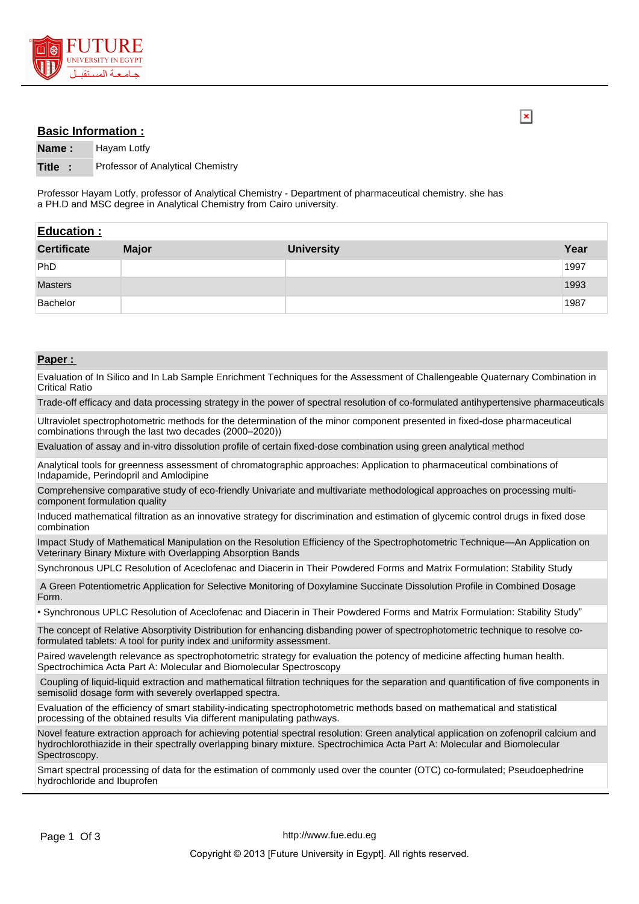

## **Basic Information :**



**Name :** Hayam Lotfy

**Title :** Professor of Analytical Chemistry

Professor Hayam Lotfy, professor of Analytical Chemistry - Department of pharmaceutical chemistry. she has a PH.D and MSC degree in Analytical Chemistry from Cairo university.

| <b>Education:</b>  |              |                   |      |
|--------------------|--------------|-------------------|------|
| <b>Certificate</b> | <b>Major</b> | <b>University</b> | Year |
| PhD                |              |                   | 1997 |
| <b>Masters</b>     |              |                   | 1993 |
| Bachelor           |              |                   | 1987 |

## **Paper :**

Evaluation of In Silico and In Lab Sample Enrichment Techniques for the Assessment of Challengeable Quaternary Combination in Critical Ratio

Trade-off efficacy and data processing strategy in the power of spectral resolution of co-formulated antihypertensive pharmaceuticals

Ultraviolet spectrophotometric methods for the determination of the minor component presented in fixed-dose pharmaceutical combinations through the last two decades (2000–2020))

Evaluation of assay and in-vitro dissolution profile of certain fixed-dose combination using green analytical method

Analytical tools for greenness assessment of chromatographic approaches: Application to pharmaceutical combinations of Indapamide, Perindopril and Amlodipine

Comprehensive comparative study of eco-friendly Univariate and multivariate methodological approaches on processing multicomponent formulation quality

Induced mathematical filtration as an innovative strategy for discrimination and estimation of glycemic control drugs in fixed dose combination

Impact Study of Mathematical Manipulation on the Resolution Efficiency of the Spectrophotometric Technique—An Application on Veterinary Binary Mixture with Overlapping Absorption Bands

Synchronous UPLC Resolution of Aceclofenac and Diacerin in Their Powdered Forms and Matrix Formulation: Stability Study

 A Green Potentiometric Application for Selective Monitoring of Doxylamine Succinate Dissolution Profile in Combined Dosage Form.

• Synchronous UPLC Resolution of Aceclofenac and Diacerin in Their Powdered Forms and Matrix Formulation: Stability Study"

The concept of Relative Absorptivity Distribution for enhancing disbanding power of spectrophotometric technique to resolve coformulated tablets: A tool for purity index and uniformity assessment.

Paired wavelength relevance as spectrophotometric strategy for evaluation the potency of medicine affecting human health. Spectrochimica Acta Part A: Molecular and Biomolecular Spectroscopy

 Coupling of liquid-liquid extraction and mathematical filtration techniques for the separation and quantification of five components in semisolid dosage form with severely overlapped spectra.

Evaluation of the efficiency of smart stability-indicating spectrophotometric methods based on mathematical and statistical processing of the obtained results Via different manipulating pathways.

Novel feature extraction approach for achieving potential spectral resolution: Green analytical application on zofenopril calcium and hydrochlorothiazide in their spectrally overlapping binary mixture. Spectrochimica Acta Part A: Molecular and Biomolecular Spectroscopy.

Smart spectral processing of data for the estimation of commonly used over the counter (OTC) co-formulated; Pseudoephedrine hydrochloride and Ibuprofen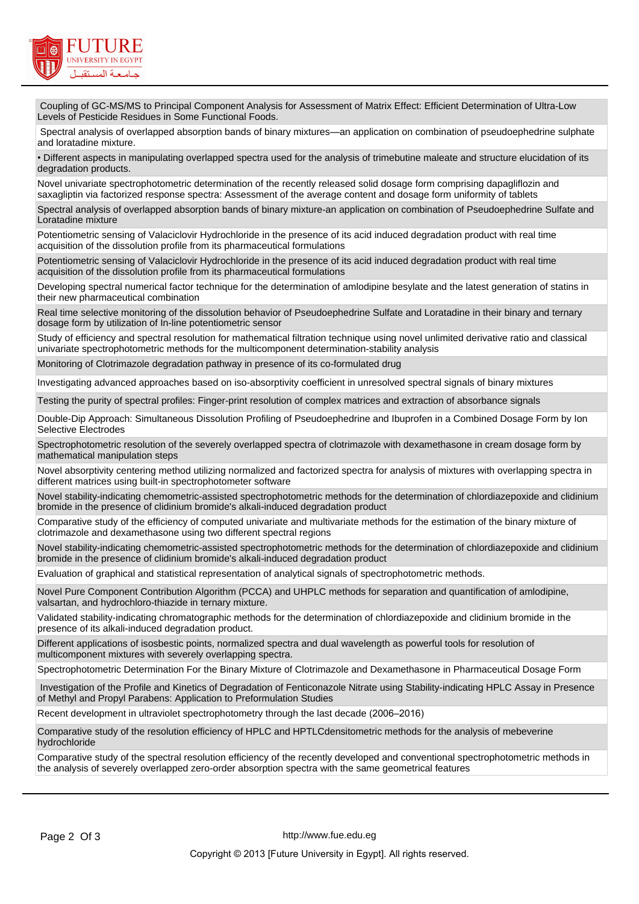

 Coupling of GC-MS/MS to Principal Component Analysis for Assessment of Matrix Effect: Efficient Determination of Ultra-Low Levels of Pesticide Residues in Some Functional Foods.

 Spectral analysis of overlapped absorption bands of binary mixtures—an application on combination of pseudoephedrine sulphate and loratadine mixture.

• Different aspects in manipulating overlapped spectra used for the analysis of trimebutine maleate and structure elucidation of its degradation products.

Novel univariate spectrophotometric determination of the recently released solid dosage form comprising dapagliflozin and saxagliptin via factorized response spectra: Assessment of the average content and dosage form uniformity of tablets

Spectral analysis of overlapped absorption bands of binary mixture-an application on combination of Pseudoephedrine Sulfate and Loratadine mixture

Potentiometric sensing of Valaciclovir Hydrochloride in the presence of its acid induced degradation product with real time acquisition of the dissolution profile from its pharmaceutical formulations

Potentiometric sensing of Valaciclovir Hydrochloride in the presence of its acid induced degradation product with real time acquisition of the dissolution profile from its pharmaceutical formulations

Developing spectral numerical factor technique for the determination of amlodipine besylate and the latest generation of statins in their new pharmaceutical combination

Real time selective monitoring of the dissolution behavior of Pseudoephedrine Sulfate and Loratadine in their binary and ternary dosage form by utilization of In-line potentiometric sensor

Study of efficiency and spectral resolution for mathematical filtration technique using novel unlimited derivative ratio and classical univariate spectrophotometric methods for the multicomponent determination-stability analysis

Monitoring of Clotrimazole degradation pathway in presence of its co-formulated drug

Investigating advanced approaches based on iso-absorptivity coefficient in unresolved spectral signals of binary mixtures

Testing the purity of spectral profiles: Finger-print resolution of complex matrices and extraction of absorbance signals

Double-Dip Approach: Simultaneous Dissolution Profiling of Pseudoephedrine and Ibuprofen in a Combined Dosage Form by Ion Selective Electrodes

Spectrophotometric resolution of the severely overlapped spectra of clotrimazole with dexamethasone in cream dosage form by mathematical manipulation steps

Novel absorptivity centering method utilizing normalized and factorized spectra for analysis of mixtures with overlapping spectra in different matrices using built-in spectrophotometer software

Novel stability-indicating chemometric-assisted spectrophotometric methods for the determination of chlordiazepoxide and clidinium bromide in the presence of clidinium bromide's alkali-induced degradation product

Comparative study of the efficiency of computed univariate and multivariate methods for the estimation of the binary mixture of clotrimazole and dexamethasone using two different spectral regions

Novel stability-indicating chemometric-assisted spectrophotometric methods for the determination of chlordiazepoxide and clidinium bromide in the presence of clidinium bromide's alkali-induced degradation product

Evaluation of graphical and statistical representation of analytical signals of spectrophotometric methods.

Novel Pure Component Contribution Algorithm (PCCA) and UHPLC methods for separation and quantification of amlodipine, valsartan, and hydrochloro-thiazide in ternary mixture.

Validated stability-indicating chromatographic methods for the determination of chlordiazepoxide and clidinium bromide in the presence of its alkali-induced degradation product.

Different applications of isosbestic points, normalized spectra and dual wavelength as powerful tools for resolution of multicomponent mixtures with severely overlapping spectra.

Spectrophotometric Determination For the Binary Mixture of Clotrimazole and Dexamethasone in Pharmaceutical Dosage Form

 Investigation of the Profile and Kinetics of Degradation of Fenticonazole Nitrate using Stability-indicating HPLC Assay in Presence of Methyl and Propyl Parabens: Application to Preformulation Studies

Recent development in ultraviolet spectrophotometry through the last decade (2006–2016)

Comparative study of the resolution efficiency of HPLC and HPTLCdensitometric methods for the analysis of mebeverine hydrochloride

Comparative study of the spectral resolution efficiency of the recently developed and conventional spectrophotometric methods in the analysis of severely overlapped zero-order absorption spectra with the same geometrical features